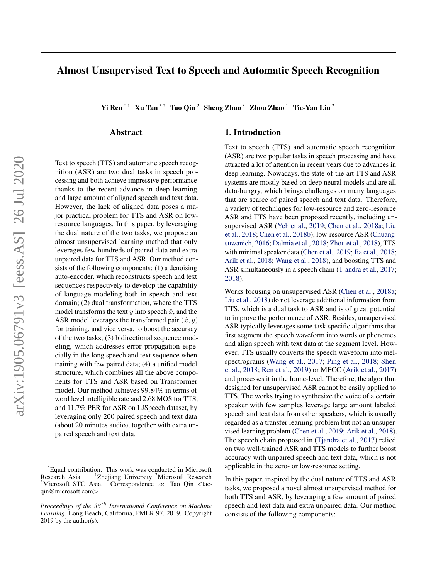# Almost Unsupervised Text to Speech and Automatic Speech Recognition

Yi Ren<sup>\*1</sup> Xu Tan<sup>\*2</sup> Tao Qin<sup>2</sup> Sheng Zhao<sup>3</sup> Zhou Zhao<sup>1</sup> Tie-Yan Liu<sup>2</sup>

## Abstract

Text to speech (TTS) and automatic speech recognition (ASR) are two dual tasks in speech processing and both achieve impressive performance thanks to the recent advance in deep learning and large amount of aligned speech and text data. However, the lack of aligned data poses a major practical problem for TTS and ASR on lowresource languages. In this paper, by leveraging the dual nature of the two tasks, we propose an almost unsupervised learning method that only leverages few hundreds of paired data and extra unpaired data for TTS and ASR. Our method consists of the following components: (1) a denoising auto-encoder, which reconstructs speech and text sequences respectively to develop the capability of language modeling both in speech and text domain; (2) dual transformation, where the TTS model transforms the text y into speech  $\hat{x}$ , and the ASR model leverages the transformed pair  $(\hat{x}, y)$ for training, and vice versa, to boost the accuracy of the two tasks; (3) bidirectional sequence modeling, which addresses error propagation especially in the long speech and text sequence when training with few paired data; (4) a unified model structure, which combines all the above components for TTS and ASR based on Transformer model. Our method achieves 99.84% in terms of word level intelligible rate and 2.68 MOS for TTS, and 11.7% PER for ASR on LJSpeech dataset, by leveraging only 200 paired speech and text data (about 20 minutes audio), together with extra unpaired speech and text data.

## 1. Introduction

Text to speech (TTS) and automatic speech recognition (ASR) are two popular tasks in speech processing and have attracted a lot of attention in recent years due to advances in deep learning. Nowadays, the state-of-the-art TTS and ASR systems are mostly based on deep neural models and are all data-hungry, which brings challenges on many languages that are scarce of paired speech and text data. Therefore, a variety of techniques for low-resource and zero-resource ASR and TTS have been proposed recently, including unsupervised ASR [\(Yeh et al.,](#page-10-0) [2019;](#page-10-0) [Chen et al.,](#page-8-0) [2018a;](#page-8-0) [Liu](#page-9-0) [et al.,](#page-9-0) [2018;](#page-9-0) [Chen et al.,](#page-8-0) [2018b\)](#page-8-0), low-resource ASR [\(Chuang](#page-8-0)[suwanich,](#page-8-0) [2016;](#page-8-0) [Dalmia et al.,](#page-8-0) [2018;](#page-8-0) [Zhou et al.,](#page-10-0) [2018\)](#page-10-0), TTS with minimal speaker data [\(Chen et al.,](#page-8-0) [2019;](#page-8-0) [Jia et al.,](#page-8-0) [2018;](#page-8-0) [Arik et al.,](#page-8-0) [2018;](#page-8-0) [Wang et al.,](#page-9-0) [2018\)](#page-9-0), and boosting TTS and ASR simultaneously in a speech chain [\(Tjandra et al.,](#page-9-0) [2017;](#page-9-0) [2018\)](#page-9-0).

Works focusing on unsupervised ASR [\(Chen et al.,](#page-8-0) [2018a;](#page-8-0) [Liu et al.,](#page-9-0) [2018\)](#page-9-0) do not leverage additional information from TTS, which is a dual task to ASR and is of great potential to improve the performance of ASR. Besides, unsupervised ASR typically leverages some task specific algorithms that first segment the speech waveform into words or phonemes and align speech with text data at the segment level. However, TTS usually converts the speech waveform into melspectrograms [\(Wang et al.,](#page-9-0) [2017;](#page-9-0) [Ping et al.,](#page-9-0) [2018;](#page-9-0) [Shen](#page-9-0) [et al.,](#page-9-0) [2018;](#page-9-0) [Ren et al.,](#page-9-0) [2019\)](#page-9-0) or MFCC [\(Arik et al.,](#page-8-0) [2017\)](#page-8-0) and processes it in the frame-level. Therefore, the algorithm designed for unsupervised ASR cannot be easily applied to TTS. The works trying to synthesize the voice of a certain speaker with few samples leverage large amount labeled speech and text data from other speakers, which is usually regarded as a transfer learning problem but not an unsupervised learning problem [\(Chen et al.,](#page-8-0) [2019;](#page-8-0) [Arik et al.,](#page-8-0) [2018\)](#page-8-0). The speech chain proposed in [\(Tjandra et al.,](#page-9-0) [2017\)](#page-9-0) relied on two well-trained ASR and TTS models to further boost accuracy with unpaired speech and text data, which is not applicable in the zero- or low-resource setting.

In this paper, inspired by the dual nature of TTS and ASR tasks, we proposed a novel almost unsupervised method for both TTS and ASR, by leveraging a few amount of paired speech and text data and extra unpaired data. Our method consists of the following components:

<sup>\*</sup>Equal contribution. This work was conducted in Microsoft Research Asia. <sup>1</sup>Zhejiang University <sup>2</sup>Microsoft Research <sup>3</sup>Microsoft STC Asia. Correspondence to: Tao Qin <taoqin@microsoft.com>.

*Proceedings of the*  $36<sup>th</sup>$  *International Conference on Machine Learning*, Long Beach, California, PMLR 97, 2019. Copyright  $2019$  by the author(s).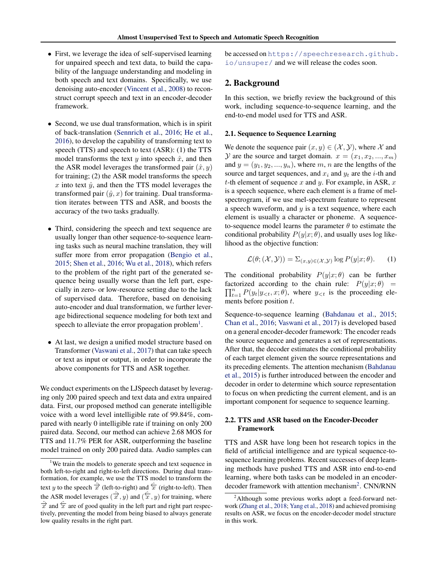- First, we leverage the idea of self-supervised learning for unpaired speech and text data, to build the capability of the language understanding and modeling in both speech and text domains. Specifically, we use denoising auto-encoder [\(Vincent et al.,](#page-9-0) [2008\)](#page-9-0) to reconstruct corrupt speech and text in an encoder-decoder framework.
- Second, we use dual transformation, which is in spirit of back-translation [\(Sennrich et al.,](#page-9-0) [2016;](#page-9-0) [He et al.,](#page-8-0) [2016\)](#page-8-0), to develop the capability of transforming text to speech (TTS) and speech to text (ASR): (1) the TTS model transforms the text y into speech  $\hat{x}$ , and then the ASR model leverages the transformed pair  $(\hat{x}, y)$ for training; (2) the ASR model transforms the speech x into text  $\hat{y}$ , and then the TTS model leverages the transformed pair  $(\hat{y}, x)$  for training. Dual transformation iterates between TTS and ASR, and boosts the accuracy of the two tasks gradually.
- Third, considering the speech and text sequence are usually longer than other sequence-to-sequence learning tasks such as neural machine translation, they will suffer more from error propagation [\(Bengio et al.,](#page-8-0) [2015;](#page-8-0) [Shen et al.,](#page-9-0) [2016;](#page-9-0) [Wu et al.,](#page-9-0) [2018\)](#page-9-0), which refers to the problem of the right part of the generated sequence being usually worse than the left part, especially in zero- or low-resource setting due to the lack of supervised data. Therefore, based on denoising auto-encoder and dual transformation, we further leverage bidirectional sequence modeling for both text and speech to alleviate the error propagation problem<sup>1</sup>.
- At last, we design a unified model structure based on Transformer [\(Vaswani et al.,](#page-9-0) [2017\)](#page-9-0) that can take speech or text as input or output, in order to incorporate the above components for TTS and ASR together.

We conduct experiments on the LJSpeech dataset by leveraging only 200 paired speech and text data and extra unpaired data. First, our proposed method can generate intelligible voice with a word level intelligible rate of 99.84%, compared with nearly 0 intelligible rate if training on only 200 paired data. Second, our method can achieve 2.68 MOS for TTS and 11.7% PER for ASR, outperforming the baseline model trained on only 200 paired data. Audio samples can

be accessed on [https://speechresearch.github.](https://speechresearch.github.io/unsuper/) [io/unsuper/](https://speechresearch.github.io/unsuper/) and we will release the codes soon.

## 2. Background

In this section, we briefly review the background of this work, including sequence-to-sequence learning, and the end-to-end model used for TTS and ASR.

#### 2.1. Sequence to Sequence Learning

We denote the sequence pair  $(x, y) \in (\mathcal{X}, \mathcal{Y})$ , where X and  $\mathcal Y$  are the source and target domain.  $x = (x_1, x_2, ..., x_m)$ and  $y = (y_1, y_2, \dots, y_n)$ , where m, n are the lengths of the source and target sequences, and  $x_i$  and  $y_t$  are the *i*-th and t-th element of sequence x and y. For example, in ASR,  $x$ is a speech sequence, where each element is a frame of melspectrogram, if we use mel-spectrum feature to represent a speech waveform, and  $y$  is a text sequence, where each element is usually a character or phoneme. A sequenceto-sequence model learns the parameter  $\theta$  to estimate the conditional probability  $P(y|x; \theta)$ , and usually uses log likelihood as the objective function:

$$
\mathcal{L}(\theta; (\mathcal{X}, \mathcal{Y})) = \sum_{(x, y) \in (\mathcal{X}, \mathcal{Y})} \log P(y|x; \theta). \tag{1}
$$

The conditional probability  $P(y|x; \theta)$  can be further factorized according to the chain rule:  $P(y|x; \theta)$  =  $\prod_{t=1}^{n} P(y_t|y_{< t}, x; \theta)$ , where  $y_{< t}$  is the proceeding elements before position t.

Sequence-to-sequence learning [\(Bahdanau et al.,](#page-8-0) [2015;](#page-8-0) [Chan et al.,](#page-8-0) [2016;](#page-8-0) [Vaswani et al.,](#page-9-0) [2017\)](#page-9-0) is developed based on a general encoder-decoder framework: The encoder reads the source sequence and generates a set of representations. After that, the decoder estimates the conditional probability of each target element given the source representations and its preceding elements. The attention mechanism [\(Bahdanau](#page-8-0) [et al.,](#page-8-0) [2015\)](#page-8-0) is further introduced between the encoder and decoder in order to determine which source representation to focus on when predicting the current element, and is an important component for sequence to sequence learning.

## 2.2. TTS and ASR based on the Encoder-Decoder Framework

TTS and ASR have long been hot research topics in the field of artificial intelligence and are typical sequence-tosequence learning problems. Recent successes of deep learning methods have pushed TTS and ASR into end-to-end learning, where both tasks can be modeled in an encoderdecoder framework with attention mechanism<sup>2</sup>. CNN/RNN

<sup>&</sup>lt;sup>1</sup>We train the models to generate speech and text sequence in both left-to-right and right-to-left directions. During dual transformation, for example, we use the TTS model to transform the text y to the speech  $\hat{\vec{x}}$  (left-to-right) and  $\hat{\vec{x}}$  (right-to-left). Then the ASR model leverages  $(\hat{\vec{x}}, y)$  and  $(\hat{\vec{x}}, y)$  for training, where  $\hat{\vec{x}}$  and  $\hat{\vec{x}}$  are of good quality in the left part and right part respectively, preventing the model from being biased to always generate low quality results in the right part.

<sup>&</sup>lt;sup>2</sup>Although some previous works adopt a feed-forward network [\(Zhang et al.,](#page-10-0) [2018;](#page-10-0) [Yang et al.,](#page-9-0) [2018\)](#page-9-0) and achieved promising results on ASR, we focus on the encoder-decoder model structure in this work.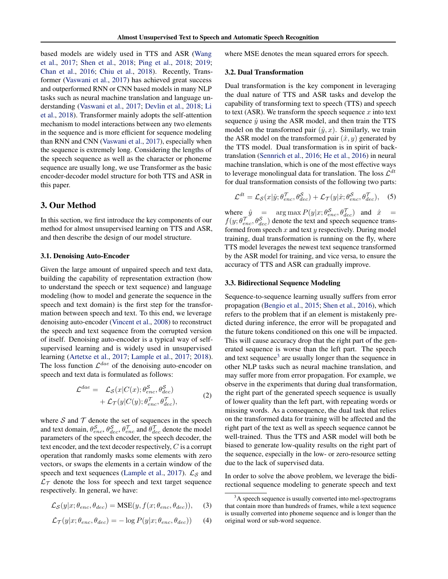<span id="page-2-0"></span>based models are widely used in TTS and ASR [\(Wang](#page-9-0) [et al.,](#page-9-0) [2017;](#page-9-0) [Shen et al.,](#page-9-0) [2018;](#page-9-0) [Ping et al.,](#page-9-0) [2018;](#page-9-0) [2019;](#page-9-0) [Chan et al.,](#page-8-0) [2016;](#page-8-0) [Chiu et al.,](#page-8-0) [2018\)](#page-8-0). Recently, Transformer [\(Vaswani et al.,](#page-9-0) [2017\)](#page-9-0) has achieved great success and outperformed RNN or CNN based models in many NLP tasks such as neural machine translation and language understanding [\(Vaswani et al.,](#page-9-0) [2017;](#page-9-0) [Devlin et al.,](#page-8-0) [2018;](#page-8-0) [Li](#page-9-0) [et al.,](#page-9-0) [2018\)](#page-9-0). Transformer mainly adopts the self-attention mechanism to model interactions between any two elements in the sequence and is more efficient for sequence modeling than RNN and CNN [\(Vaswani et al.,](#page-9-0) [2017\)](#page-9-0), especially when the sequence is extremely long. Considering the lengths of the speech sequence as well as the character or phoneme sequence are usually long, we use Transformer as the basic encoder-decoder model structure for both TTS and ASR in this paper.

### 3. Our Method

In this section, we first introduce the key components of our method for almost unsupervised learning on TTS and ASR, and then describe the design of our model structure.

#### 3.1. Denoising Auto-Encoder

Given the large amount of unpaired speech and text data, building the capability of representation extraction (how to understand the speech or text sequence) and language modeling (how to model and generate the sequence in the speech and text domain) is the first step for the transformation between speech and text. To this end, we leverage denoising auto-encoder [\(Vincent et al.,](#page-9-0) [2008\)](#page-9-0) to reconstruct the speech and text sequence from the corrupted version of itself. Denoising auto-encoder is a typical way of selfsupervised learning and is widely used in unsupervised learning [\(Artetxe et al.,](#page-8-0) [2017;](#page-8-0) [Lample et al.,](#page-8-0) [2017;](#page-8-0) [2018\)](#page-9-0). The loss function  $\mathcal{L}^{dae}$  of the denoising auto-encoder on speech and text data is formulated as follows:

$$
\mathcal{L}^{dae} = \mathcal{L}_{\mathcal{S}}(x|C(x);\theta_{enc}^{\mathcal{S}},\theta_{dec}^{\mathcal{S}}) \n+ \mathcal{L}_{\mathcal{T}}(y|C(y);\theta_{enc}^{\mathcal{T}},\theta_{dec}^{\mathcal{T}}),
$$
\n(2)

where  $S$  and  $T$  denote the set of sequences in the speech and text domain,  $\theta_{enc}^S$ ,  $\theta_{dec}^T$ ,  $\theta_{enc}^T$  and  $\theta_{dec}^T$  denote the model parameters of the speech encoder, the speech decoder, the text encoder, and the text decoder respectively, C is a corrupt operation that randomly masks some elements with zero vectors, or swaps the elements in a certain window of the speech and text sequences [\(Lample et al.,](#page-8-0) [2017\)](#page-8-0).  $\mathcal{L}_{\mathcal{S}}$  and  $\mathcal{L}_{\mathcal{T}}$  denote the loss for speech and text target sequence respectively. In general, we have:

$$
\mathcal{L}_{\mathcal{S}}(y|x; \theta_{enc}, \theta_{dec}) = \text{MSE}(y, f(x; \theta_{enc}, \theta_{dec})), \quad (3)
$$

$$
\mathcal{L}_{\mathcal{T}}(y|x; \theta_{enc}, \theta_{dec}) = -\log P(y|x; \theta_{enc}, \theta_{dec})) \tag{4}
$$

where MSE denotes the mean squared errors for speech.

#### 3.2. Dual Transformation

Dual transformation is the key component in leveraging the dual nature of TTS and ASR tasks and develop the capability of transforming text to speech (TTS) and speech to text (ASR). We transform the speech sequence  $x$  into text sequence  $\hat{y}$  using the ASR model, and then train the TTS model on the transformed pair  $(\hat{y}, x)$ . Similarly, we train the ASR model on the transformed pair  $(\hat{x}, y)$  generated by the TTS model. Dual transformation is in spirit of backtranslation [\(Sennrich et al.,](#page-9-0) [2016;](#page-9-0) [He et al.,](#page-8-0) [2016\)](#page-8-0) in neural machine translation, which is one of the most effective ways to leverage monolingual data for translation. The loss  $\mathcal{L}^{dt}$ for dual transformation consists of the following two parts:

$$
\mathcal{L}^{dt} = \mathcal{L}_{\mathcal{S}}(x|\hat{y}; \theta_{enc}^{\mathcal{T}}, \theta_{dec}^{\mathcal{S}}) + \mathcal{L}_{\mathcal{T}}(y|\hat{x}; \theta_{enc}^{\mathcal{S}}, \theta_{dec}^{\mathcal{T}}), \quad (5)
$$

where  $\hat{y}$  = arg max  $P(y|x; \theta_{enc}^S, \theta_{dec}^T)$  and  $\hat{x}$  =  $f(y; \theta_{enc}^{\mathcal{T}}, \theta_{dec}^{\mathcal{S}})$  denote the text and speech sequence transformed from speech  $x$  and text  $y$  respectively. During model training, dual transformation is running on the fly, where TTS model leverages the newest text sequence transformed by the ASR model for training, and vice versa, to ensure the accuracy of TTS and ASR can gradually improve.

#### 3.3. Bidirectional Sequence Modeling

Sequence-to-sequence learning usually suffers from error propagation [\(Bengio et al.,](#page-8-0) [2015;](#page-8-0) [Shen et al.,](#page-9-0) [2016\)](#page-9-0), which refers to the problem that if an element is mistakenly predicted during inference, the error will be propagated and the future tokens conditioned on this one will be impacted. This will cause accuracy drop that the right part of the generated sequence is worse than the left part. The speech and text sequence<sup>3</sup> are usually longer than the sequence in other NLP tasks such as neural machine translation, and may suffer more from error propagation. For example, we observe in the experiments that during dual transformation, the right part of the generated speech sequence is usually of lower quality than the left part, with repeating words or missing words. As a consequence, the dual task that relies on the transformed data for training will be affected and the right part of the text as well as speech sequence cannot be well-trained. Thus the TTS and ASR model will both be biased to generate low-quality results on the right part of the sequence, especially in the low- or zero-resource setting due to the lack of supervised data.

In order to solve the above problem, we leverage the bidirectional sequence modeling to generate speech and text

 $3A$  speech sequence is usually converted into mel-spectrograms that contain more than hundreds of frames, while a text sequence is usually converted into phoneme sequence and is longer than the original word or sub-word sequence.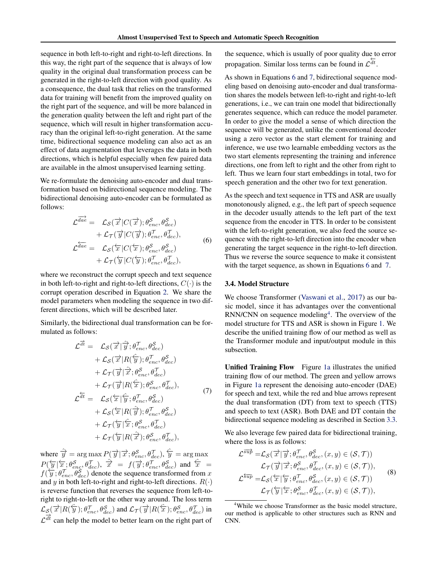<span id="page-3-0"></span>sequence in both left-to-right and right-to-left directions. In this way, the right part of the sequence that is always of low quality in the original dual transformation process can be generated in the right-to-left direction with good quality. As a consequence, the dual task that relies on the transformed data for training will benefit from the improved quality on the right part of the sequence, and will be more balanced in the generation quality between the left and right part of the sequence, which will result in higher transformation accuracy than the original left-to-right generation. At the same time, bidirectional sequence modeling can also act as an effect of data augmentation that leverages the data in both directions, which is helpful especially when few paired data are available in the almost unsupervised learning setting.

We re-formulate the denoising auto-encoder and dual transformation based on bidirectional sequence modeling. The bidirectional denoising auto-encoder can be formulated as follows:

$$
\mathcal{L}^{\overrightarrow{dae}} = \mathcal{L}_{\mathcal{S}}(\overrightarrow{x}|C(\overrightarrow{x}); \theta_{enc}^{\mathcal{S}}, \theta_{dec}^{\mathcal{S}}) \n+ \mathcal{L}_{\mathcal{T}}(\overrightarrow{y}|C(\overrightarrow{y}); \theta_{enc}^{\mathcal{T}}, \theta_{dec}^{\mathcal{T}}), \n\mathcal{L}^{\overleftarrow{dae}} = \mathcal{L}_{\mathcal{S}}(\overleftarrow{x}|C(\overleftarrow{x}); \theta_{enc}^{\mathcal{S}}, \theta_{dec}^{\mathcal{S}}) \n+ \mathcal{L}_{\mathcal{T}}(\overleftarrow{y}|C(\overleftarrow{y}); \theta_{enc}^{\mathcal{T}}, \theta_{dec}^{\mathcal{T}}),
$$
\n(6)

where we reconstruct the corrupt speech and text sequence in both left-to-right and right-to-left directions,  $C(\cdot)$  is the corrupt operation described in Equation [2.](#page-2-0) We share the model parameters when modeling the sequence in two different directions, which will be described later.

Similarly, the bidirectional dual transformation can be formulated as follows:

$$
\mathcal{L}^{\overrightarrow{dt}} = \mathcal{L}_{\mathcal{S}}(\overrightarrow{x}|\widehat{y}; \theta_{enc}^{\mathcal{T}}, \theta_{dec}^{\mathcal{S}}) \n+ \mathcal{L}_{\mathcal{S}}(\overrightarrow{x}|R(\widehat{y}); \theta_{enc}^{\mathcal{T}}, \theta_{dec}^{\mathcal{S}}) \n+ \mathcal{L}_{\mathcal{T}}(\overrightarrow{y}|\widehat{x}; \theta_{enc}^{\mathcal{S}}, \theta_{dec}^{\mathcal{T}}) \n+ \mathcal{L}_{\mathcal{T}}(\overrightarrow{y}|R(\widehat{x}); \theta_{enc}^{\mathcal{S}}, \theta_{dec}^{\mathcal{T}}), \n\mathcal{L}^{\overleftarrow{dt}} = \mathcal{L}_{\mathcal{S}}(\overleftarrow{x}|\widehat{y}; \theta_{enc}^{\mathcal{T}}, \theta_{dec}^{\mathcal{S}}) \n+ \mathcal{L}_{\mathcal{S}}(\overleftarrow{x}|R(\widehat{y}); \theta_{enc}^{\mathcal{T}}, \theta_{dec}^{\mathcal{S}}) \n+ \mathcal{L}_{\mathcal{T}}(\overleftarrow{y}|\widehat{x}; \theta_{enc}^{\mathcal{S}}, \theta_{dec}^{\mathcal{T}}) \n+ \mathcal{L}_{\mathcal{T}}(\overleftarrow{y}|R(\widehat{x}); \theta_{enc}^{\mathcal{S}}, \theta_{dec}^{\mathcal{T}}),
$$
\n(7)

where  $\hat{y} = \arg \max P(\vec{y} | \vec{x}; \theta_{enc}^S, \theta_{dec}^T), \hat{y} = \arg \max$  $P(\overleftarrow{y}|\overleftarrow{x};\theta^{\mathcal{S}}_{enc},\theta^{\mathcal{T}}_{dec}),\,\,\overrightarrow{x}~=~f(\overrightarrow{y};\theta^{\mathcal{T}}_{enc},\theta^{\mathcal{S}}_{dec})$  and  $\overleftarrow{x}~=~$  $f(\overline{y}; \theta_{enc}^T, \theta_{dec}^T)$  denote the sequence transformed from x and y in both left-to-right and right-to-left directions.  $R(\cdot)$ is reverse function that reverses the sequence from left-toright to right-to-left or the other way around. The loss term  $\mathcal{L}_{\mathcal{S}}(\overrightarrow{x}|R(\overleftarrow{y}); \theta_{enc}^{\mathcal{T}}, \theta_{dec}^{\mathcal{S}})$  and  $\mathcal{L}_{\mathcal{T}}(\overrightarrow{y}|R(\overleftarrow{x}); \theta_{enc}^{\mathcal{S}}, \theta_{dec}^{\mathcal{T}})$  in  $\mathcal{L}^{\frac{1}{dt}}$  can help the model to better learn on the right part of

the sequence, which is usually of poor quality due to error propagation. Similar loss terms can be found in  $\mathcal{L}^{\frac{1}{dt}}$ .

As shown in Equations 6 and 7, bidirectional sequence modeling based on denoising auto-encoder and dual transformation shares the models between left-to-right and right-to-left generations, i.e., we can train one model that bidirectionally generates sequence, which can reduce the model parameter. In order to give the model a sense of which direction the sequence will be generated, unlike the conventional decoder using a zero vector as the start element for training and inference, we use two learnable embedding vectors as the two start elements representing the training and inference directions, one from left to right and the other from right to left. Thus we learn four start embeddings in total, two for speech generation and the other two for text generation.

As the speech and text sequence in TTS and ASR are usually monotonously aligned, e.g., the left part of speech sequence in the decoder usually attends to the left part of the text sequence from the encoder in TTS. In order to be consistent with the left-to-right generation, we also feed the source sequence with the right-to-left direction into the encoder when generating the target sequence in the right-to-left direction. Thus we reverse the source sequence to make it consistent with the target sequence, as shown in Equations 6 and 7.

### 3.4. Model Structure

We choose Transformer [\(Vaswani et al.,](#page-9-0) [2017\)](#page-9-0) as our basic model, since it has advantages over the conventional  $RNN/CNN$  on sequence modeling<sup>4</sup>. The overview of the model structure for TTS and ASR is shown in Figure [1.](#page-4-0) We describe the unified training flow of our method as well as the Transformer module and input/output module in this subsection.

Unified Training Flow Figure [1a](#page-4-0) illustrates the unified training flow of our method. The green and yellow arrows in Figure [1a](#page-4-0) represent the denoising auto-encoder (DAE) for speech and text, while the red and blue arrows represent the dual transformation (DT) from text to speech (TTS) and speech to text (ASR). Both DAE and DT contain the bidirectional sequence modeling as described in Section [3.3.](#page-2-0)

We also leverage few paired data for bidirectional training, where the loss is as follows:

$$
\mathcal{L}^{\overrightarrow{sup}} = \mathcal{L}_{\mathcal{S}}(\overrightarrow{x}|\overrightarrow{y}; \theta_{enc}^{\mathcal{T}}, \theta_{dec}^{\mathcal{S}}, (x, y) \in (\mathcal{S}, \mathcal{T})) \n\mathcal{L}_{\mathcal{T}}(\overrightarrow{y}|\overrightarrow{x}; \theta_{enc}^{\mathcal{S}}, \theta_{dec}^{\mathcal{T}}, (x, y) \in (\mathcal{S}, \mathcal{T})), \n\mathcal{L}^{\overleftarrow{sup}} = \mathcal{L}_{\mathcal{S}}(\overleftarrow{x}|\overleftarrow{y}; \theta_{enc}^{\mathcal{S}}, \theta_{dec}^{\mathcal{S}}, (x, y) \in (\mathcal{S}, \mathcal{T})) \n\mathcal{L}_{\mathcal{T}}(\overleftarrow{y}|\overleftarrow{x}; \theta_{enc}^{\mathcal{S}}, \theta_{dec}^{\mathcal{T}}, (x, y) \in (\mathcal{S}, \mathcal{T})),
$$
\n(8)

<sup>&</sup>lt;sup>4</sup>While we choose Transformer as the basic model structure, our method is applicable to other structures such as RNN and CNN.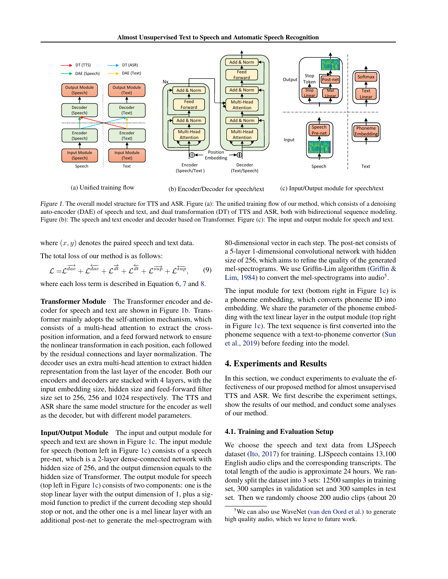<span id="page-4-0"></span>

(a) Unified training flow

(b) Encoder/Decoder for speech/text (c) Input/Output module for speech/text

Figure 1. The overall model structure for TTS and ASR. Figure (a): The unified training flow of our method, which consists of a denoising auto-encoder (DAE) of speech and text, and dual transformation (DT) of TTS and ASR, both with bidirectional sequence modeling. Figure (b): The speech and text encoder and decoder based on Transformer. Figure (c): The input and output module for speech and text.

where  $(x, y)$  denotes the paired speech and text data.

The total loss of our method is as follows:

$$
\mathcal{L} = \mathcal{L}^{\overrightarrow{dae}} + \mathcal{L}^{\overleftarrow{dae}} + \mathcal{L}^{\overrightarrow{dt}} + \mathcal{L}^{\overleftarrow{dt}} + \mathcal{L}^{\overrightarrow{sup}} + \mathcal{L}^{\overleftarrow{sup}},\qquad(9)
$$

where each loss term is described in Equation [6,](#page-3-0) [7](#page-3-0) and [8.](#page-3-0)

Transformer Module The Transformer encoder and decoder for speech and text are shown in Figure 1b. Transformer mainly adopts the self-attention mechanism, which consists of a multi-head attention to extract the crossposition information, and a feed forward network to ensure the nonlinear transformation in each position, each followed by the residual connections and layer normalization. The decoder uses an extra multi-head attention to extract hidden representation from the last layer of the encoder. Both our encoders and decoders are stacked with 4 layers, with the input embedding size, hidden size and feed-forward filter size set to 256, 256 and 1024 respectively. The TTS and ASR share the same model structure for the encoder as well as the decoder, but with different model parameters.

Input/Output Module The input and output module for speech and text are shown in Figure 1c. The input module for speech (bottom left in Figure 1c) consists of a speech pre-net, which is a 2-layer dense-connected network with hidden size of 256, and the output dimension equals to the hidden size of Transformer. The output module for speech (top left in Figure 1c) consists of two components: one is the stop linear layer with the output dimension of 1, plus a sigmoid function to predict if the current decoding step should stop or not, and the other one is a mel linear layer with an additional post-net to generate the mel-spectrogram with

80-dimensional vector in each step. The post-net consists of a 5-layer 1-dimensional convolutional network with hidden size of 256, which aims to refine the quality of the generated mel-spectrograms. We use Griffin-Lim algorithm [\(Griffin &](#page-8-0) [Lim,](#page-8-0) [1984\)](#page-8-0) to convert the mel-spectrograms into audio<sup>5</sup>.

The input module for text (bottom right in Figure 1c) is a phoneme embedding, which converts phoneme ID into embedding. We share the parameter of the phoneme embedding with the text linear layer in the output module (top right in Figure 1c). The text sequence is first converted into the phoneme sequence with a text-to-phoneme convertor [\(Sun](#page-9-0) [et al.,](#page-9-0) [2019\)](#page-9-0) before feeding into the model.

## 4. Experiments and Results

In this section, we conduct experiments to evaluate the effectiveness of our proposed method for almost unsupervised TTS and ASR. We first describe the experiment settings, show the results of our method, and conduct some analyses of our method.

#### 4.1. Training and Evaluation Setup

We choose the speech and text data from LJSpeech dataset [\(Ito,](#page-8-0) [2017\)](#page-8-0) for training. LJSpeech contains 13,100 English audio clips and the corresponding transcripts. The total length of the audio is approximate 24 hours. We randomly split the dataset into 3 sets: 12500 samples in training set, 300 samples in validation set and 300 samples in test set. Then we randomly choose 200 audio clips (about 20

 $5$ We can also use WaveNet [\(van den Oord et al.\)](#page-9-0) to generate high quality audio, which we leave to future work.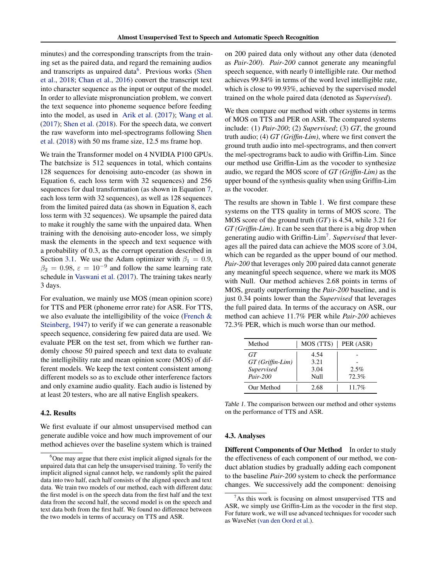minutes) and the corresponding transcripts from the training set as the paired data, and regard the remaining audios and transcripts as unpaired data<sup>6</sup>. Previous works [\(Shen](#page-9-0) [et al.,](#page-9-0) [2018;](#page-9-0) [Chan et al.,](#page-8-0) [2016\)](#page-8-0) convert the transcript text into character sequence as the input or output of the model. In order to alleviate mispronunciation problem, we convert the text sequence into phoneme sequence before feeding into the model, as used in [Arik et al.](#page-8-0) [\(2017\)](#page-8-0); [Wang et al.](#page-9-0) [\(2017\)](#page-9-0); [Shen et al.](#page-9-0) [\(2018\)](#page-9-0). For the speech data, we convert the raw waveform into mel-spectrograms following [Shen](#page-9-0) [et al.](#page-9-0) [\(2018\)](#page-9-0) with 50 ms frame size, 12.5 ms frame hop.

We train the Transformer model on 4 NVIDIA P100 GPUs. The batchsize is 512 sequences in total, which contains 128 sequences for denoising auto-encoder (as shown in Equation [6,](#page-3-0) each loss term with 32 sequences) and 256 sequences for dual transformation (as shown in Equation [7,](#page-3-0) each loss term with 32 sequences), as well as 128 sequences from the limited paired data (as shown in Equation [8,](#page-3-0) each loss term with 32 sequences). We upsample the paired data to make it roughly the same with the unpaired data. When training with the denoising auto-encoder loss, we simply mask the elements in the speech and text sequence with a probability of 0.3, as the corrupt operation described in Section [3.1.](#page-2-0) We use the Adam optimizer with  $\beta_1 = 0.9$ ,  $\beta_2 = 0.98$ ,  $\varepsilon = 10^{-9}$  and follow the same learning rate schedule in [Vaswani et al.](#page-9-0) [\(2017\)](#page-9-0). The training takes nearly 3 days.

For evaluation, we mainly use MOS (mean opinion score) for TTS and PER (phoneme error rate) for ASR. For TTS, we also evaluate the intelligibility of the voice [\(French &](#page-8-0) [Steinberg,](#page-8-0) [1947\)](#page-8-0) to verify if we can generate a reasonable speech sequence, considering few paired data are used. We evaluate PER on the test set, from which we further randomly choose 50 paired speech and text data to evaluate the intelligibility rate and mean opinion score (MOS) of different models. We keep the text content consistent among different models so as to exclude other interference factors and only examine audio quality. Each audio is listened by at least 20 testers, who are all native English speakers.

### 4.2. Results

We first evaluate if our almost unsupervised method can generate audible voice and how much improvement of our method achieves over the baseline system which is trained

on 200 paired data only without any other data (denoted as *Pair-200*). *Pair-200* cannot generate any meaningful speech sequence, with nearly 0 intelligible rate. Our method achieves 99.84% in terms of the word level intelligible rate, which is close to 99.93%, achieved by the supervised model trained on the whole paired data (denoted as *Supervised*).

We then compare our method with other systems in terms of MOS on TTS and PER on ASR. The compared systems include: (1) *Pair-200*; (2) *Supervised*; (3) *GT*, the ground truth audio; (4) *GT (Griffin-Lim)*, where we first convert the ground truth audio into mel-spectrograms, and then convert the mel-spectrograms back to audio with Griffin-Lim. Since our method use Griffin-Lim as the vocoder to synthesize audio, we regard the MOS score of *GT (Griffin-Lim)* as the upper bound of the synthesis quality when using Griffin-Lim as the vocoder.

The results are shown in Table 1. We first compare these systems on the TTS quality in terms of MOS score. The MOS score of the ground truth (*GT*) is 4.54, while 3.21 for *GT (Griffin-Lim)*. It can be seen that there is a big drop when generating audio with Griffin-Lim<sup>7</sup> . *Supervised* that leverages all the paired data can achieve the MOS score of 3.04, which can be regarded as the upper bound of our method. *Pair-200* that leverages only 200 paired data cannot generate any meaningful speech sequence, where we mark its MOS with Null. Our method achieves 2.68 points in terms of MOS, greatly outperforming the *Pair-200* baseline, and is just 0.34 points lower than the *Supervised* that leverages the full paired data. In terms of the accuracy on ASR, our method can achieve 11.7% PER while *Pair-200* achieves 72.3% PER, which is much worse than our method.

| Method           | MOS (TTS) | PER (ASR) |
|------------------|-----------|-----------|
| GT               | 4.54      |           |
| GT (Griffin-Lim) | 3.21      |           |
| Supervised       | 3.04      | 2.5%      |
| $Pair-200$       | Null      | 72.3%     |
| Our Method       | 2.68      | $11.7\%$  |

Table 1. The comparison between our method and other systems on the performance of TTS and ASR.

#### 4.3. Analyses

Different Components of Our Method In order to study the effectiveness of each component of our method, we conduct ablation studies by gradually adding each component to the baseline *Pair-200* system to check the performance changes. We successively add the component: denoising

 $6$ One may argue that there exist implicit aligned signals for the unpaired data that can help the unsupervised training. To verify the implicit aligned signal cannot help, we randomly split the paired data into two half, each half consists of the aligned speech and text data. We train two models of our method, each with different data: the first model is on the speech data from the first half and the text data from the second half, the second model is on the speech and text data both from the first half. We found no difference between the two models in terms of accuracy on TTS and ASR.

As this work is focusing on almost unsupervised TTS and ASR, we simply use Griffin-Lim as the vocoder in the first step. For future work, we will use advanced techniques for vocoder such as WaveNet [\(van den Oord et al.\)](#page-9-0).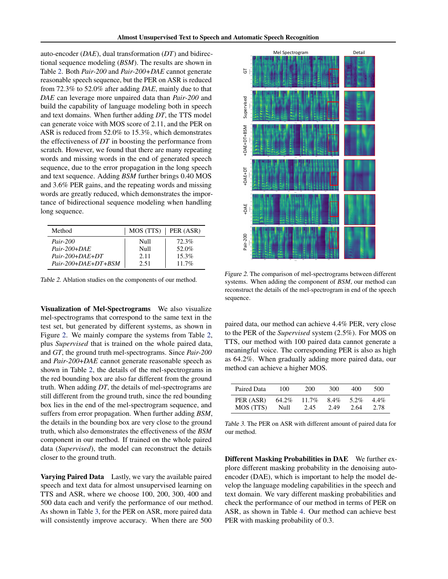auto-encoder (*DAE*), dual transformation (*DT*) and bidirectional sequence modeling (*BSM*). The results are shown in Table 2. Both *Pair-200* and *Pair-200+DAE* cannot generate reasonable speech sequence, but the PER on ASR is reduced from 72.3% to 52.0% after adding *DAE*, mainly due to that *DAE* can leverage more unpaired data than *Pair-200* and build the capability of language modeling both in speech and text domains. When further adding *DT*, the TTS model can generate voice with MOS score of 2.11, and the PER on ASR is reduced from 52.0% to 15.3%, which demonstrates the effectiveness of *DT* in boosting the performance from scratch. However, we found that there are many repeating words and missing words in the end of generated speech sequence, due to the error propagation in the long speech and text sequence. Adding *BSM* further brings 0.40 MOS and 3.6% PER gains, and the repeating words and missing words are greatly reduced, which demonstrates the importance of bidirectional sequence modeling when handling long sequence.

| Method                | $MOS(TTS)$ PER (ASR) |          |
|-----------------------|----------------------|----------|
| <i>Pair-200</i>       | Null                 | 72.3%    |
| $Pair-200+DAE$        | Null                 | 52.0%    |
| $Pair-200+DAE+DT$     | 2.11                 | $15.3\%$ |
| $Pair-200+DAE+DT+BSM$ | 2.51                 | $11.7\%$ |

Table 2. Ablation studies on the components of our method.

Visualization of Mel-Spectrograms We also visualize mel-spectrograms that correspond to the same text in the test set, but generated by different systems, as shown in Figure 2. We mainly compare the systems from Table 2, plus *Supervised* that is trained on the whole paired data, and *GT*, the ground truth mel-spectrograms. Since *Pair-200* and *Pair-200*+*DAE* cannot generate reasonable speech as shown in Table 2, the details of the mel-spectrograms in the red bounding box are also far different from the ground truth. When adding *DT*, the details of mel-spectrograms are still different from the ground truth, since the red bounding box lies in the end of the mel-spectrogram sequence, and suffers from error propagation. When further adding *BSM*, the details in the bounding box are very close to the ground truth, which also demonstrates the effectiveness of the *BSM* component in our method. If trained on the whole paired data (*Supervised*), the model can reconstruct the details closer to the ground truth.

**Varying Paired Data** Lastly, we vary the available paired speech and text data for almost unsupervised learning on TTS and ASR, where we choose 100, 200, 300, 400 and 500 data each and verify the performance of our method. As shown in Table 3, for the PER on ASR, more paired data will consistently improve accuracy. When there are 500



Figure 2. The comparison of mel-spectrograms between different systems. When adding the component of *BSM*, our method can reconstruct the details of the mel-spectrogram in end of the speech sequence.

paired data, our method can achieve 4.4% PER, very close to the PER of the *Supervised* system (2.5%). For MOS on TTS, our method with 100 paired data cannot generate a meaningful voice. The corresponding PER is also as high as 64.2%. When gradually adding more paired data, our method can achieve a higher MOS.

| Paired Data | 100   | 200      | 300     | 400  | 500     |
|-------------|-------|----------|---------|------|---------|
| PER (ASR)   | 64.2% | $11.7\%$ | $8.4\%$ | 5.2% | $4.4\%$ |
| MOS (TTS)   | Null  | 2.45     | 2.49    | 2.64 | 2.78    |

Table 3. The PER on ASR with different amount of paired data for our method.

Different Masking Probabilities in DAE We further explore different masking probability in the denoising autoencoder (DAE), which is important to help the model develop the language modeling capabilities in the speech and text domain. We vary different masking probabilities and check the performance of our method in terms of PER on ASR, as shown in Table [4.](#page-7-0) Our method can achieve best PER with masking probability of 0.3.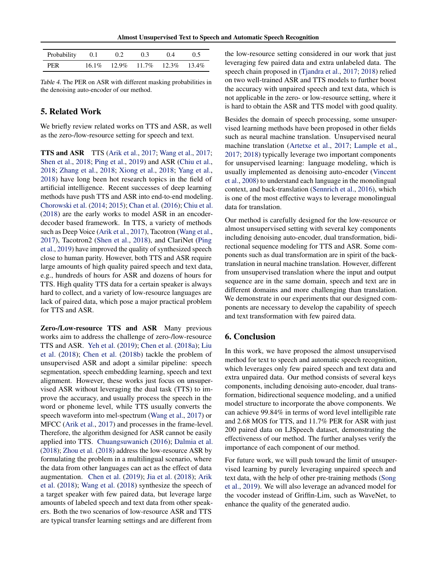Almost Unsupervised Text to Speech and Automatic Speech Recognition

<span id="page-7-0"></span>

| Probability 0.1 | 0.2 | 0.3                                          | 04 | 0 5 |
|-----------------|-----|----------------------------------------------|----|-----|
| PER             |     | $16.1\%$ $12.9\%$ $11.7\%$ $12.3\%$ $13.4\%$ |    |     |

Table 4. The PER on ASR with different masking probabilities in the denoising auto-encoder of our method.

## 5. Related Work

We briefly review related works on TTS and ASR, as well as the zero-/low-resource setting for speech and text.

TTS and ASR TTS [\(Arik et al.,](#page-8-0) [2017;](#page-8-0) [Wang et al.,](#page-9-0) [2017;](#page-9-0) [Shen et al.,](#page-9-0) [2018;](#page-9-0) [Ping et al.,](#page-9-0) [2019\)](#page-9-0) and ASR [\(Chiu et al.,](#page-8-0) [2018;](#page-8-0) [Zhang et al.,](#page-10-0) [2018;](#page-10-0) [Xiong et al.,](#page-9-0) [2018;](#page-9-0) [Yang et al.,](#page-9-0) [2018\)](#page-9-0) have long been hot research topics in the field of artificial intelligence. Recent successes of deep learning methods have push TTS and ASR into end-to-end modeling. [Chorowski et al.](#page-8-0) [\(2014;](#page-8-0) [2015\)](#page-8-0); [Chan et al.](#page-8-0) [\(2016\)](#page-8-0); [Chiu et al.](#page-8-0) [\(2018\)](#page-8-0) are the early works to model ASR in an encoderdecoder based framework. In TTS, a variety of methods such as Deep Voice [\(Arik et al.,](#page-8-0) [2017\)](#page-8-0), Tacotron [\(Wang et al.,](#page-9-0) [2017\)](#page-9-0), Tacotron2 [\(Shen et al.,](#page-9-0) [2018\)](#page-9-0), and ClariNet [\(Ping](#page-9-0) [et al.,](#page-9-0) [2019\)](#page-9-0) have improved the quality of synthesized speech close to human parity. However, both TTS and ASR require large amounts of high quality paired speech and text data, e.g., hundreds of hours for ASR and dozens of hours for TTS. High quality TTS data for a certain speaker is always hard to collect, and a variety of low-resource languages are lack of paired data, which pose a major practical problem for TTS and ASR.

Zero-/Low-resource TTS and ASR Many previous works aim to address the challenge of zero-/low-resource TTS and ASR. [Yeh et al.](#page-10-0) [\(2019\)](#page-10-0); [Chen et al.](#page-8-0) [\(2018a\)](#page-8-0); [Liu](#page-9-0) [et al.](#page-9-0) [\(2018\)](#page-9-0); [Chen et al.](#page-8-0) [\(2018b\)](#page-8-0) tackle the problem of unsupervised ASR and adopt a similar pipeline: speech segmentation, speech embedding learning, speech and text alignment. However, these works just focus on unsupervised ASR without leveraging the dual task (TTS) to improve the accuracy, and usually process the speech in the word or phoneme level, while TTS usually converts the speech waveform into mel-spectrum [\(Wang et al.,](#page-9-0) [2017\)](#page-9-0) or MFCC [\(Arik et al.,](#page-8-0) [2017\)](#page-8-0) and processes in the frame-level. Therefore, the algorithm designed for ASR cannot be easily applied into TTS. [Chuangsuwanich](#page-8-0) [\(2016\)](#page-8-0); [Dalmia et al.](#page-8-0) [\(2018\)](#page-8-0); [Zhou et al.](#page-10-0) [\(2018\)](#page-10-0) address the low-resource ASR by formulating the problem in a multilingual scenario, where the data from other languages can act as the effect of data augmentation. [Chen et al.](#page-8-0) [\(2019\)](#page-8-0); [Jia et al.](#page-8-0) [\(2018\)](#page-8-0); [Arik](#page-8-0) [et al.](#page-8-0) [\(2018\)](#page-8-0); [Wang et al.](#page-9-0) [\(2018\)](#page-9-0) synthesize the speech of a target speaker with few paired data, but leverage large amounts of labeled speech and text data from other speakers. Both the two scenarios of low-resource ASR and TTS are typical transfer learning settings and are different from

the low-resource setting considered in our work that just leveraging few paired data and extra unlabeled data. The speech chain proposed in [\(Tjandra et al.,](#page-9-0) [2017;](#page-9-0) [2018\)](#page-9-0) relied on two well-trained ASR and TTS models to further boost the accuracy with unpaired speech and text data, which is not applicable in the zero- or low-resource setting, where it is hard to obtain the ASR and TTS model with good quality.

Besides the domain of speech processing, some unsupervised learning methods have been proposed in other fields such as neural machine translation. Unsupervised neural machine translation [\(Artetxe et al.,](#page-8-0) [2017;](#page-8-0) [Lample et al.,](#page-8-0) [2017;](#page-8-0) [2018\)](#page-9-0) typically leverage two important components for unsupervised learning: language modeling, which is usually implemented as denoising auto-encoder [\(Vincent](#page-9-0) [et al.,](#page-9-0) [2008\)](#page-9-0) to understand each language in the monolingual context, and back-translation [\(Sennrich et al.,](#page-9-0) [2016\)](#page-9-0), which is one of the most effective ways to leverage monolingual data for translation.

Our method is carefully designed for the low-resource or almost unsupervised setting with several key components including denoising auto-encoder, dual transformation, bidirectional sequence modeling for TTS and ASR. Some components such as dual transformation are in spirit of the backtranslation in neural machine translation. However, different from unsupervised translation where the input and output sequence are in the same domain, speech and text are in different domains and more challenging than translation. We demonstrate in our experiments that our designed components are necessary to develop the capability of speech and text transformation with few paired data.

## 6. Conclusion

In this work, we have proposed the almost unsupervised method for text to speech and automatic speech recognition, which leverages only few paired speech and text data and extra unpaired data. Our method consists of several keys components, including denoising auto-encoder, dual transformation, bidirectional sequence modeling, and a unified model structure to incorporate the above components. We can achieve 99.84% in terms of word level intelligible rate and 2.68 MOS for TTS, and 11.7% PER for ASR with just 200 paired data on LJSpeech dataset, demonstrating the effectiveness of our method. The further analyses verify the importance of each component of our method.

For future work, we will push toward the limit of unsupervised learning by purely leveraging unpaired speech and text data, with the help of other pre-training methods [\(Song](#page-9-0) [et al.,](#page-9-0) [2019\)](#page-9-0). We will also leverage an advanced model for the vocoder instead of Griffin-Lim, such as WaveNet, to enhance the quality of the generated audio.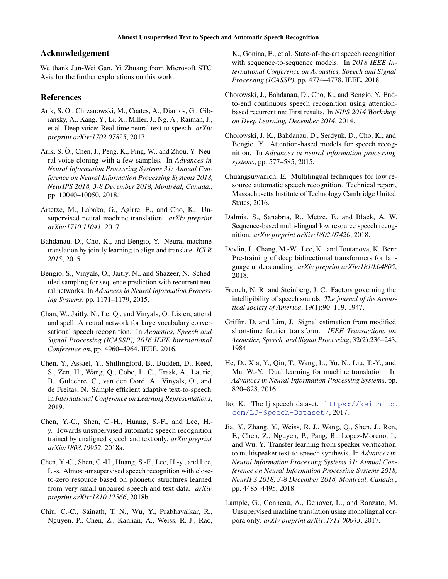## <span id="page-8-0"></span>Acknowledgement

We thank Jun-Wei Gan, Yi Zhuang from Microsoft STC Asia for the further explorations on this work.

### References

- Arik, S. O., Chrzanowski, M., Coates, A., Diamos, G., Gibiansky, A., Kang, Y., Li, X., Miller, J., Ng, A., Raiman, J., et al. Deep voice: Real-time neural text-to-speech. *arXiv preprint arXiv:1702.07825*, 2017.
- Arik, S. Ö., Chen, J., Peng, K., Ping, W., and Zhou, Y. Neural voice cloning with a few samples. In *Advances in Neural Information Processing Systems 31: Annual Conference on Neural Information Processing Systems 2018, NeurIPS 2018, 3-8 December 2018, Montreal, Canada. ´* , pp. 10040–10050, 2018.
- Artetxe, M., Labaka, G., Agirre, E., and Cho, K. Unsupervised neural machine translation. *arXiv preprint arXiv:1710.11041*, 2017.
- Bahdanau, D., Cho, K., and Bengio, Y. Neural machine translation by jointly learning to align and translate. *ICLR 2015*, 2015.
- Bengio, S., Vinyals, O., Jaitly, N., and Shazeer, N. Scheduled sampling for sequence prediction with recurrent neural networks. In *Advances in Neural Information Processing Systems*, pp. 1171–1179, 2015.
- Chan, W., Jaitly, N., Le, Q., and Vinyals, O. Listen, attend and spell: A neural network for large vocabulary conversational speech recognition. In *Acoustics, Speech and Signal Processing (ICASSP), 2016 IEEE International Conference on*, pp. 4960–4964. IEEE, 2016.
- Chen, Y., Assael, Y., Shillingford, B., Budden, D., Reed, S., Zen, H., Wang, Q., Cobo, L. C., Trask, A., Laurie, B., Gulcehre, C., van den Oord, A., Vinyals, O., and de Freitas, N. Sample efficient adaptive text-to-speech. In *International Conference on Learning Representations*, 2019.
- Chen, Y.-C., Shen, C.-H., Huang, S.-F., and Lee, H. y. Towards unsupervised automatic speech recognition trained by unaligned speech and text only. *arXiv preprint arXiv:1803.10952*, 2018a.
- Chen, Y.-C., Shen, C.-H., Huang, S.-F., Lee, H.-y., and Lee, L.-s. Almost-unsupervised speech recognition with closeto-zero resource based on phonetic structures learned from very small unpaired speech and text data. *arXiv preprint arXiv:1810.12566*, 2018b.
- Chiu, C.-C., Sainath, T. N., Wu, Y., Prabhavalkar, R., Nguyen, P., Chen, Z., Kannan, A., Weiss, R. J., Rao,

K., Gonina, E., et al. State-of-the-art speech recognition with sequence-to-sequence models. In *2018 IEEE International Conference on Acoustics, Speech and Signal Processing (ICASSP)*, pp. 4774–4778. IEEE, 2018.

- Chorowski, J., Bahdanau, D., Cho, K., and Bengio, Y. Endto-end continuous speech recognition using attentionbased recurrent nn: First results. In *NIPS 2014 Workshop on Deep Learning, December 2014*, 2014.
- Chorowski, J. K., Bahdanau, D., Serdyuk, D., Cho, K., and Bengio, Y. Attention-based models for speech recognition. In *Advances in neural information processing systems*, pp. 577–585, 2015.
- Chuangsuwanich, E. Multilingual techniques for low resource automatic speech recognition. Technical report, Massachusetts Institute of Technology Cambridge United States, 2016.
- Dalmia, S., Sanabria, R., Metze, F., and Black, A. W. Sequence-based multi-lingual low resource speech recognition. *arXiv preprint arXiv:1802.07420*, 2018.
- Devlin, J., Chang, M.-W., Lee, K., and Toutanova, K. Bert: Pre-training of deep bidirectional transformers for language understanding. *arXiv preprint arXiv:1810.04805*, 2018.
- French, N. R. and Steinberg, J. C. Factors governing the intelligibility of speech sounds. *The journal of the Acoustical society of America*, 19(1):90–119, 1947.
- Griffin, D. and Lim, J. Signal estimation from modified short-time fourier transform. *IEEE Transactions on Acoustics, Speech, and Signal Processing*, 32(2):236–243, 1984.
- He, D., Xia, Y., Qin, T., Wang, L., Yu, N., Liu, T.-Y., and Ma, W.-Y. Dual learning for machine translation. In *Advances in Neural Information Processing Systems*, pp. 820–828, 2016.
- Ito, K. The lj speech dataset. [https://keithito.](https://keithito.com/LJ-Speech-Dataset/) [com/LJ-Speech-Dataset/](https://keithito.com/LJ-Speech-Dataset/), 2017.
- Jia, Y., Zhang, Y., Weiss, R. J., Wang, Q., Shen, J., Ren, F., Chen, Z., Nguyen, P., Pang, R., Lopez-Moreno, I., and Wu, Y. Transfer learning from speaker verification to multispeaker text-to-speech synthesis. In *Advances in Neural Information Processing Systems 31: Annual Conference on Neural Information Processing Systems 2018, NeurIPS 2018, 3-8 December 2018, Montreal, Canada. ´* , pp. 4485–4495, 2018.
- Lample, G., Conneau, A., Denoyer, L., and Ranzato, M. Unsupervised machine translation using monolingual corpora only. *arXiv preprint arXiv:1711.00043*, 2017.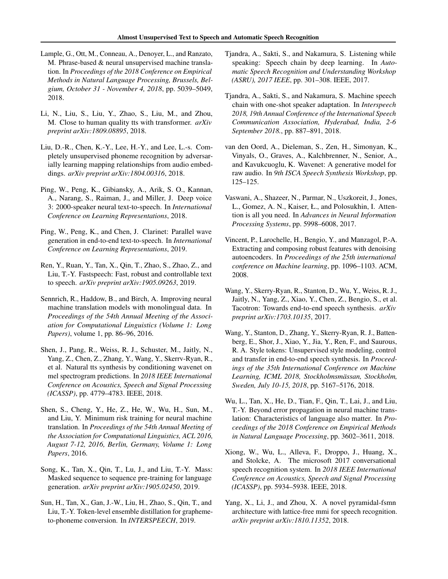- <span id="page-9-0"></span>Lample, G., Ott, M., Conneau, A., Denoyer, L., and Ranzato, M. Phrase-based & neural unsupervised machine translation. In *Proceedings of the 2018 Conference on Empirical Methods in Natural Language Processing, Brussels, Belgium, October 31 - November 4, 2018*, pp. 5039–5049, 2018.
- Li, N., Liu, S., Liu, Y., Zhao, S., Liu, M., and Zhou, M. Close to human quality tts with transformer. *arXiv preprint arXiv:1809.08895*, 2018.
- Liu, D.-R., Chen, K.-Y., Lee, H.-Y., and Lee, L.-s. Completely unsupervised phoneme recognition by adversarially learning mapping relationships from audio embeddings. *arXiv preprint arXiv:1804.00316*, 2018.
- Ping, W., Peng, K., Gibiansky, A., Arik, S. O., Kannan, A., Narang, S., Raiman, J., and Miller, J. Deep voice 3: 2000-speaker neural text-to-speech. In *International Conference on Learning Representations*, 2018.
- Ping, W., Peng, K., and Chen, J. Clarinet: Parallel wave generation in end-to-end text-to-speech. In *International Conference on Learning Representations*, 2019.
- Ren, Y., Ruan, Y., Tan, X., Qin, T., Zhao, S., Zhao, Z., and Liu, T.-Y. Fastspeech: Fast, robust and controllable text to speech. *arXiv preprint arXiv:1905.09263*, 2019.
- Sennrich, R., Haddow, B., and Birch, A. Improving neural machine translation models with monolingual data. In *Proceedings of the 54th Annual Meeting of the Association for Computational Linguistics (Volume 1: Long Papers)*, volume 1, pp. 86–96, 2016.
- Shen, J., Pang, R., Weiss, R. J., Schuster, M., Jaitly, N., Yang, Z., Chen, Z., Zhang, Y., Wang, Y., Skerrv-Ryan, R., et al. Natural tts synthesis by conditioning wavenet on mel spectrogram predictions. In *2018 IEEE International Conference on Acoustics, Speech and Signal Processing (ICASSP)*, pp. 4779–4783. IEEE, 2018.
- Shen, S., Cheng, Y., He, Z., He, W., Wu, H., Sun, M., and Liu, Y. Minimum risk training for neural machine translation. In *Proceedings of the 54th Annual Meeting of the Association for Computational Linguistics, ACL 2016, August 7-12, 2016, Berlin, Germany, Volume 1: Long Papers*, 2016.
- Song, K., Tan, X., Qin, T., Lu, J., and Liu, T.-Y. Mass: Masked sequence to sequence pre-training for language generation. *arXiv preprint arXiv:1905.02450*, 2019.
- Sun, H., Tan, X., Gan, J.-W., Liu, H., Zhao, S., Qin, T., and Liu, T.-Y. Token-level ensemble distillation for graphemeto-phoneme conversion. In *INTERSPEECH*, 2019.
- Tjandra, A., Sakti, S., and Nakamura, S. Listening while speaking: Speech chain by deep learning. In *Automatic Speech Recognition and Understanding Workshop (ASRU), 2017 IEEE*, pp. 301–308. IEEE, 2017.
- Tjandra, A., Sakti, S., and Nakamura, S. Machine speech chain with one-shot speaker adaptation. In *Interspeech 2018, 19th Annual Conference of the International Speech Communication Association, Hyderabad, India, 2-6 September 2018.*, pp. 887–891, 2018.
- van den Oord, A., Dieleman, S., Zen, H., Simonyan, K., Vinyals, O., Graves, A., Kalchbrenner, N., Senior, A., and Kavukcuoglu, K. Wavenet: A generative model for raw audio. In *9th ISCA Speech Synthesis Workshop*, pp. 125–125.
- Vaswani, A., Shazeer, N., Parmar, N., Uszkoreit, J., Jones, L., Gomez, A. N., Kaiser, Ł., and Polosukhin, I. Attention is all you need. In *Advances in Neural Information Processing Systems*, pp. 5998–6008, 2017.
- Vincent, P., Larochelle, H., Bengio, Y., and Manzagol, P.-A. Extracting and composing robust features with denoising autoencoders. In *Proceedings of the 25th international conference on Machine learning*, pp. 1096–1103. ACM, 2008.
- Wang, Y., Skerry-Ryan, R., Stanton, D., Wu, Y., Weiss, R. J., Jaitly, N., Yang, Z., Xiao, Y., Chen, Z., Bengio, S., et al. Tacotron: Towards end-to-end speech synthesis. *arXiv preprint arXiv:1703.10135*, 2017.
- Wang, Y., Stanton, D., Zhang, Y., Skerry-Ryan, R. J., Battenberg, E., Shor, J., Xiao, Y., Jia, Y., Ren, F., and Saurous, R. A. Style tokens: Unsupervised style modeling, control and transfer in end-to-end speech synthesis. In *Proceedings of the 35th International Conference on Machine Learning, ICML 2018, Stockholmsmassan, Stockholm, ¨ Sweden, July 10-15, 2018*, pp. 5167–5176, 2018.
- Wu, L., Tan, X., He, D., Tian, F., Qin, T., Lai, J., and Liu, T.-Y. Beyond error propagation in neural machine translation: Characteristics of language also matter. In *Proceedings of the 2018 Conference on Empirical Methods in Natural Language Processing*, pp. 3602–3611, 2018.
- Xiong, W., Wu, L., Alleva, F., Droppo, J., Huang, X., and Stolcke, A. The microsoft 2017 conversational speech recognition system. In *2018 IEEE International Conference on Acoustics, Speech and Signal Processing (ICASSP)*, pp. 5934–5938. IEEE, 2018.
- Yang, X., Li, J., and Zhou, X. A novel pyramidal-fsmn architecture with lattice-free mmi for speech recognition. *arXiv preprint arXiv:1810.11352*, 2018.